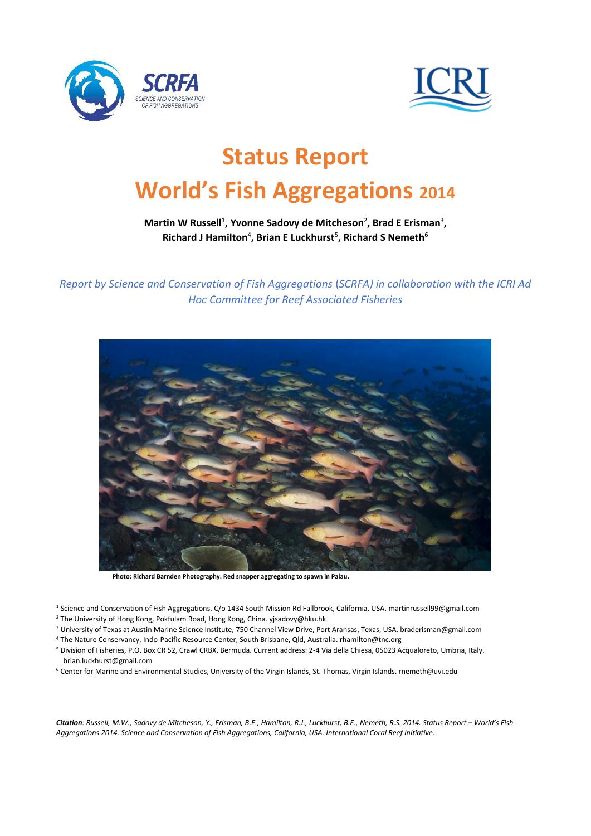



# **Status Report World's Fish Aggregations <sup>2014</sup>**

## Martin W Russell<sup>1</sup>, Yvonne Sadovy de Mitcheson<sup>2</sup>, Brad E Erisman<sup>3</sup>, **Richard J Hamilton**<sup>4</sup> **, Brian E Luckhurst**<sup>5</sup> **, Richard S Nemeth**<sup>6</sup>

*Report by Science and Conservation of Fish Aggregations* (*SCRFA) in collaboration with the ICRI Ad Hoc Committee for Reef Associated Fisheries*



**Photo: Richard Barnden Photography. Red snapper aggregating to spawn in Palau.**

- <sup>1</sup> Science and Conservation of Fish Aggregations. C/o 1434 South Mission Rd Fallbrook, California, USA. martinrussell99@gmail.com
- <sup>2</sup> The University of Hong Kong, Pokfulam Road, Hong Kong, China. yjsadovy@hku.hk
- <sup>3</sup> University of Texas at Austin Marine Science Institute, 750 Channel View Drive, Port Aransas, Texas, USA. braderisman@gmail.com
- <sup>4</sup> The Nature Conservancy, Indo-Pacific Resource Center, South Brisbane, Qld, Australia. rhamilton@tnc.org
- <sup>5</sup> Division of Fisheries, P.O. Box CR 52, Crawl CRBX, Bermuda. Current address: 2-4 Via della Chiesa, 05023 Acqualoreto, Umbria, Italy. brian.luckhurst@gmail.com
- <sup>6</sup> Center for Marine and Environmental Studies, University of the Virgin Islands, St. Thomas, Virgin Islands. rnemeth@uvi.edu

*Citation: Russell, M.W., Sadovy de Mitcheson, Y., Erisman, B.E., Hamilton, R.J., Luckhurst, B.E., Nemeth, R.S. 2014. Status Report – World's Fish Aggregations 2014. Science and Conservation of Fish Aggregations, California, USA. International Coral Reef Initiative.*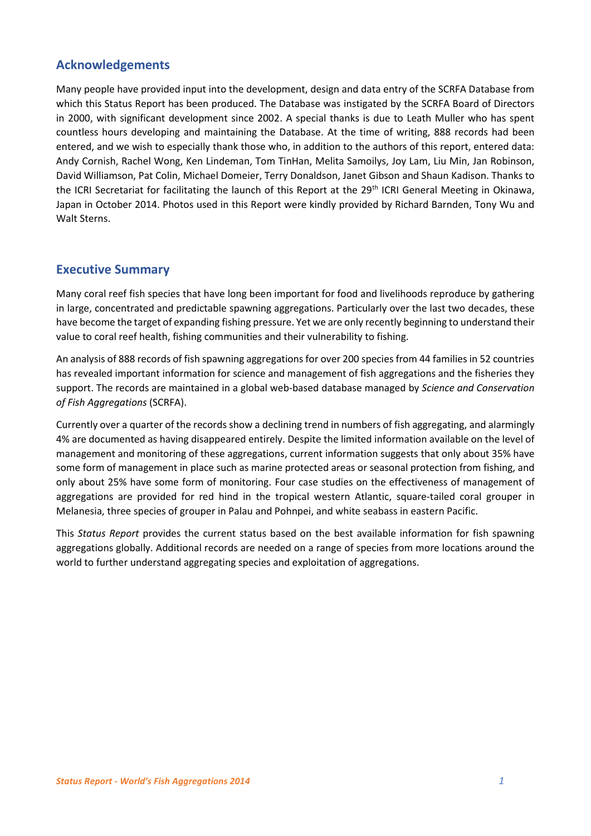# **Acknowledgements**

Many people have provided input into the development, design and data entry of the SCRFA Database from which this Status Report has been produced. The Database was instigated by the SCRFA Board of Directors in 2000, with significant development since 2002. A special thanks is due to Leath Muller who has spent countless hours developing and maintaining the Database. At the time of writing, 888 records had been entered, and we wish to especially thank those who, in addition to the authors of this report, entered data: Andy Cornish, Rachel Wong, Ken Lindeman, Tom TinHan, Melita Samoilys, Joy Lam, Liu Min, Jan Robinson, David Williamson, Pat Colin, Michael Domeier, Terry Donaldson, Janet Gibson and Shaun Kadison. Thanks to the ICRI Secretariat for facilitating the launch of this Report at the 29<sup>th</sup> ICRI General Meeting in Okinawa, Japan in October 2014. Photos used in this Report were kindly provided by Richard Barnden, Tony Wu and Walt Sterns.

# **Executive Summary**

Many coral reef fish species that have long been important for food and livelihoods reproduce by gathering in large, concentrated and predictable spawning aggregations. Particularly over the last two decades, these have become the target of expanding fishing pressure. Yet we are only recently beginning to understand their value to coral reef health, fishing communities and their vulnerability to fishing.

An analysis of 888 records of fish spawning aggregations for over 200 species from 44 families in 52 countries has revealed important information for science and management of fish aggregations and the fisheries they support. The records are maintained in a global web-based database managed by *Science and Conservation of Fish Aggregations* (SCRFA).

Currently over a quarter of the records show a declining trend in numbers of fish aggregating, and alarmingly 4% are documented as having disappeared entirely. Despite the limited information available on the level of management and monitoring of these aggregations, current information suggests that only about 35% have some form of management in place such as marine protected areas or seasonal protection from fishing, and only about 25% have some form of monitoring. Four case studies on the effectiveness of management of aggregations are provided for red hind in the tropical western Atlantic, square-tailed coral grouper in Melanesia, three species of grouper in Palau and Pohnpei, and white seabass in eastern Pacific.

This *Status Report* provides the current status based on the best available information for fish spawning aggregations globally. Additional records are needed on a range of species from more locations around the world to further understand aggregating species and exploitation of aggregations.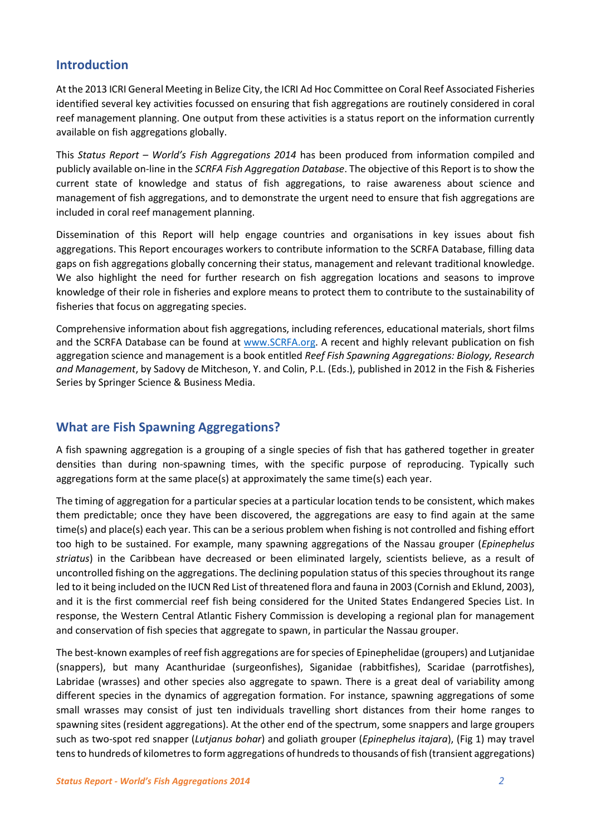## **Introduction**

At the 2013 ICRI General Meeting in Belize City, the ICRI Ad Hoc Committee on Coral Reef Associated Fisheries identified several key activities focussed on ensuring that fish aggregations are routinely considered in coral reef management planning. One output from these activities is a status report on the information currently available on fish aggregations globally.

This *Status Report – World's Fish Aggregations 2014* has been produced from information compiled and publicly available on-line in the *SCRFA Fish Aggregation Database*. The objective of this Report is to show the current state of knowledge and status of fish aggregations, to raise awareness about science and management of fish aggregations, and to demonstrate the urgent need to ensure that fish aggregations are included in coral reef management planning.

Dissemination of this Report will help engage countries and organisations in key issues about fish aggregations. This Report encourages workers to contribute information to the SCRFA Database, filling data gaps on fish aggregations globally concerning their status, management and relevant traditional knowledge. We also highlight the need for further research on fish aggregation locations and seasons to improve knowledge of their role in fisheries and explore means to protect them to contribute to the sustainability of fisheries that focus on aggregating species.

Comprehensive information about fish aggregations, including references, educational materials, short films and the SCRFA Database can be found at [www.SCRFA.org.](http://www.scrfa.org/) A recent and highly relevant publication on fish aggregation science and management is a book entitled *Reef Fish Spawning Aggregations: Biology, Research and Management*, by Sadovy de Mitcheson, Y. and Colin, P.L. (Eds.), published in 2012 in the Fish & Fisheries Series by Springer Science & Business Media.

# **What are Fish Spawning Aggregations?**

A fish spawning aggregation is a grouping of a single species of fish that has gathered together in greater densities than during non-spawning times, with the specific purpose of reproducing. Typically such aggregations form at the same place(s) at approximately the same time(s) each year.

The timing of aggregation for a particular species at a particular location tends to be consistent, which makes them predictable; once they have been discovered, the aggregations are easy to find again at the same time(s) and place(s) each year. This can be a serious problem when fishing is not controlled and fishing effort too high to be sustained. For example, many spawning aggregations of the Nassau grouper (*Epinephelus striatus*) in the Caribbean have decreased or been eliminated largely, scientists believe, as a result of uncontrolled fishing on the aggregations. The declining population status of this species throughout its range led to it being included on the IUCN Red List of threatened flora and fauna in 2003 (Cornish and Eklund, 2003), and it is the first commercial reef fish being considered for the United States Endangered Species List. In response, the Western Central Atlantic Fishery Commission is developing a regional plan for management and conservation of fish species that aggregate to spawn, in particular the Nassau grouper.

The best-known examples of reef fish aggregations are for species of Epinephelidae (groupers) and Lutjanidae (snappers), but many Acanthuridae (surgeonfishes), Siganidae (rabbitfishes), Scaridae (parrotfishes), Labridae (wrasses) and other species also aggregate to spawn. There is a great deal of variability among different species in the dynamics of aggregation formation. For instance, spawning aggregations of some small wrasses may consist of just ten individuals travelling short distances from their home ranges to spawning sites (resident aggregations). At the other end of the spectrum, some snappers and large groupers such as two-spot red snapper (*Lutjanus bohar*) and goliath grouper (*Epinephelus itajara*), (Fig 1) may travel tens to hundreds of kilometres to form aggregations of hundreds to thousands of fish (transient aggregations)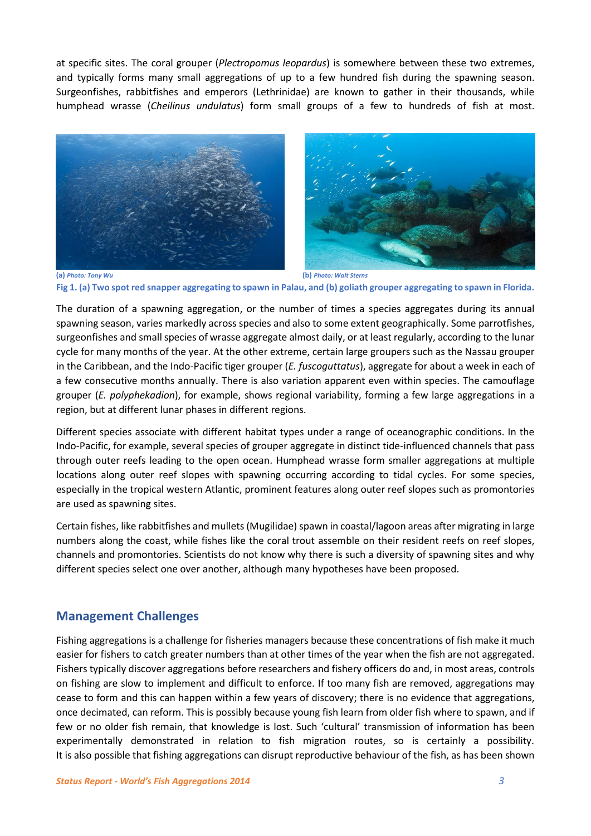at specific sites. The coral grouper (*Plectropomus leopardus*) is somewhere between these two extremes, and typically forms many small aggregations of up to a few hundred fish during the spawning season. Surgeonfishes, rabbitfishes and emperors (Lethrinidae) are known to gather in their thousands, while humphead wrasse (*Cheilinus undulatus*) form small groups of a few to hundreds of fish at most.



**(a)** *Photo: Tony Wu* **(b)** *Photo: Walt Sterns* **Fig 1. (a) Two spot red snapper aggregating to spawn in Palau, and (b) goliath grouper aggregating to spawn in Florida.**

The duration of a spawning aggregation, or the number of times a species aggregates during its annual spawning season, varies markedly across species and also to some extent geographically. Some parrotfishes, surgeonfishes and small species of wrasse aggregate almost daily, or at least regularly, according to the lunar cycle for many months of the year. At the other extreme, certain large groupers such as the Nassau grouper in the Caribbean, and the Indo-Pacific tiger grouper (*E. fuscoguttatus*), aggregate for about a week in each of a few consecutive months annually. There is also variation apparent even within species. The camouflage grouper (*E. polyphekadion*), for example, shows regional variability, forming a few large aggregations in a region, but at different lunar phases in different regions.

Different species associate with different habitat types under a range of oceanographic conditions. In the Indo-Pacific, for example, several species of grouper aggregate in distinct tide-influenced channels that pass through outer reefs leading to the open ocean. Humphead wrasse form smaller aggregations at multiple locations along outer reef slopes with spawning occurring according to tidal cycles. For some species, especially in the tropical western Atlantic, prominent features along outer reef slopes such as promontories are used as spawning sites.

Certain fishes, like rabbitfishes and mullets (Mugilidae) spawn in coastal/lagoon areas after migrating in large numbers along the coast, while fishes like the coral trout assemble on their resident reefs on reef slopes, channels and promontories. Scientists do not know why there is such a diversity of spawning sites and why different species select one over another, although many hypotheses have been proposed.

## **Management Challenges**

Fishing aggregations is a challenge for fisheries managers because these concentrations of fish make it much easier for fishers to catch greater numbers than at other times of the year when the fish are not aggregated. Fishers typically discover aggregations before researchers and fishery officers do and, in most areas, controls on fishing are slow to implement and difficult to enforce. If too many fish are removed, aggregations may cease to form and this can happen within a few years of discovery; there is no evidence that aggregations, once decimated, can reform. This is possibly because young fish learn from older fish where to spawn, and if few or no older fish remain, that knowledge is lost. Such 'cultural' transmission of information has been experimentally demonstrated in relation to fish migration routes, so is certainly a possibility. It is also possible that fishing aggregations can disrupt reproductive behaviour of the fish, as has been shown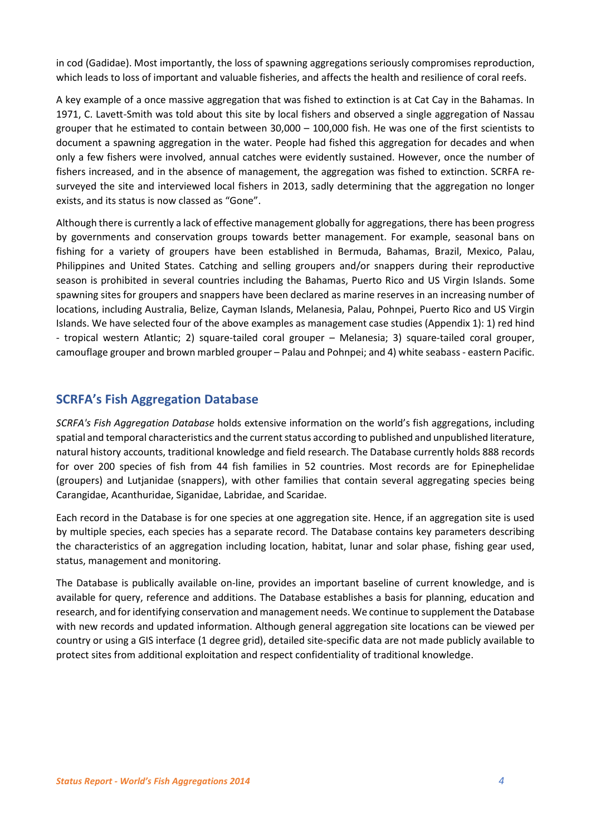in cod (Gadidae). Most importantly, the loss of spawning aggregations seriously compromises reproduction, which leads to loss of important and valuable fisheries, and affects the health and resilience of coral reefs.

A key example of a once massive aggregation that was fished to extinction is at Cat Cay in the Bahamas. In 1971, C. Lavett-Smith was told about this site by local fishers and observed a single aggregation of Nassau grouper that he estimated to contain between 30,000 – 100,000 fish. He was one of the first scientists to document a spawning aggregation in the water. People had fished this aggregation for decades and when only a few fishers were involved, annual catches were evidently sustained. However, once the number of fishers increased, and in the absence of management, the aggregation was fished to extinction. SCRFA resurveyed the site and interviewed local fishers in 2013, sadly determining that the aggregation no longer exists, and its status is now classed as "Gone".

Although there is currently a lack of effective management globally for aggregations, there has been progress by governments and conservation groups towards better management. For example, seasonal bans on fishing for a variety of groupers have been established in Bermuda, Bahamas, Brazil, Mexico, Palau, Philippines and United States. Catching and selling groupers and/or snappers during their reproductive season is prohibited in several countries including the Bahamas, Puerto Rico and US Virgin Islands. Some spawning sites for groupers and snappers have been declared as marine reserves in an increasing number of locations, including Australia, Belize, Cayman Islands, Melanesia, Palau, Pohnpei, Puerto Rico and US Virgin Islands. We have selected four of the above examples as management case studies (Appendix 1): 1) red hind - tropical western Atlantic; 2) square-tailed coral grouper – Melanesia; 3) square-tailed coral grouper, camouflage grouper and brown marbled grouper – Palau and Pohnpei; and 4) white seabass - eastern Pacific.

## **SCRFA's Fish Aggregation Database**

*SCRFA's Fish Aggregation Database* holds extensive information on the world's fish aggregations, including spatial and temporal characteristics and the current status according to published and unpublished literature, natural history accounts, traditional knowledge and field research. The Database currently holds 888 records for over 200 species of fish from 44 fish families in 52 countries. Most records are for Epinephelidae (groupers) and Lutjanidae (snappers), with other families that contain several aggregating species being Carangidae, Acanthuridae, Siganidae, Labridae, and Scaridae.

Each record in the Database is for one species at one aggregation site. Hence, if an aggregation site is used by multiple species, each species has a separate record. The Database contains key parameters describing the characteristics of an aggregation including location, habitat, lunar and solar phase, fishing gear used, status, management and monitoring.

The Database is publically available on-line, provides an important baseline of current knowledge, and is available for query, reference and additions. The Database establishes a basis for planning, education and research, and for identifying conservation and management needs. We continue to supplement the Database with new records and updated information. Although general aggregation site locations can be viewed per country or using a GIS interface (1 degree grid), detailed site-specific data are not made publicly available to protect sites from additional exploitation and respect confidentiality of traditional knowledge.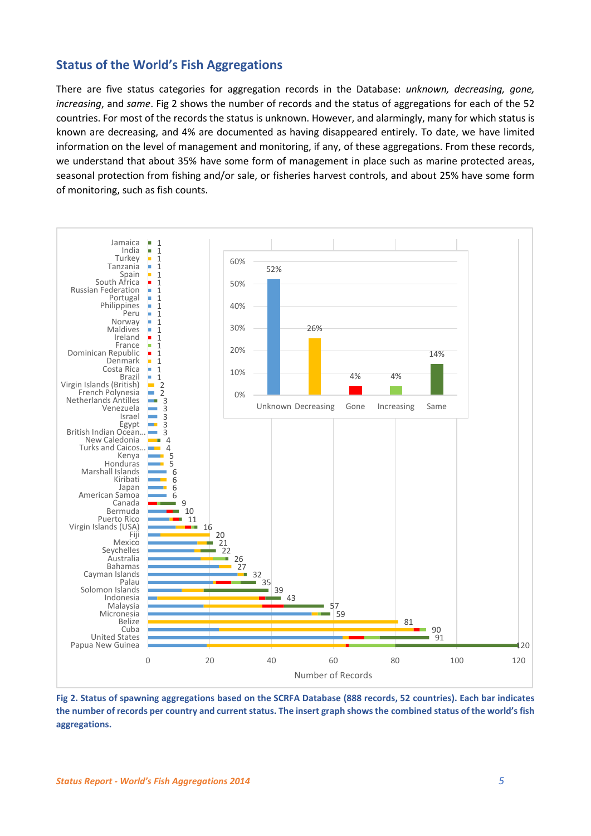## **Status of the World's Fish Aggregations**

There are five status categories for aggregation records in the Database: *unknown, decreasing, gone, increasing*, and *same*. Fig 2 shows the number of records and the status of aggregations for each of the 52 countries. For most of the records the status is unknown. However, and alarmingly, many for which status is known are decreasing, and 4% are documented as having disappeared entirely. To date, we have limited information on the level of management and monitoring, if any, of these aggregations. From these records, we understand that about 35% have some form of management in place such as marine protected areas, seasonal protection from fishing and/or sale, or fisheries harvest controls, and about 25% have some form of monitoring, such as fish counts.



**Fig 2. Status of spawning aggregations based on the SCRFA Database (888 records, 52 countries). Each bar indicates the number of records per country and current status. The insert graph shows the combined status of the world's fish aggregations.**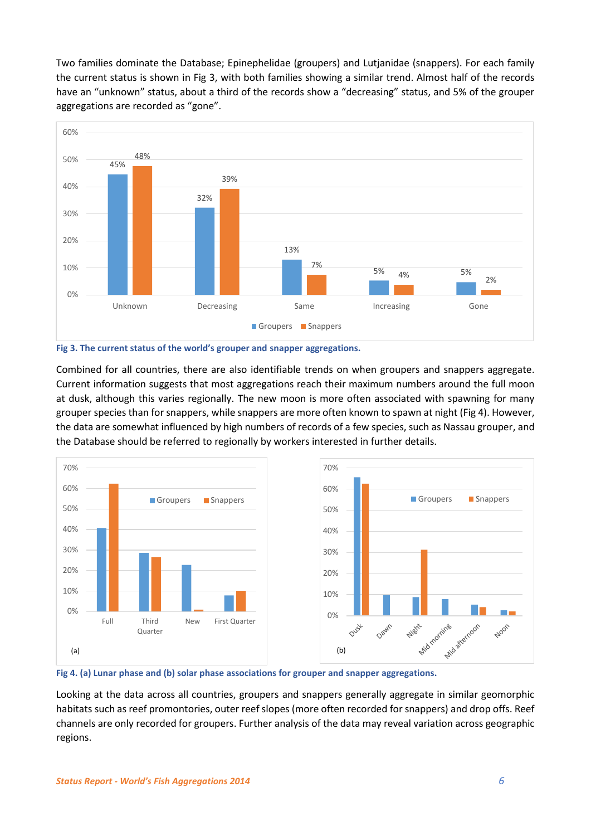Two families dominate the Database; Epinephelidae (groupers) and Lutjanidae (snappers). For each family the current status is shown in Fig 3, with both families showing a similar trend. Almost half of the records have an "unknown" status, about a third of the records show a "decreasing" status, and 5% of the grouper aggregations are recorded as "gone".





Combined for all countries, there are also identifiable trends on when groupers and snappers aggregate. Current information suggests that most aggregations reach their maximum numbers around the full moon at dusk, although this varies regionally. The new moon is more often associated with spawning for many grouper species than for snappers, while snappers are more often known to spawn at night (Fig 4). However, the data are somewhat influenced by high numbers of records of a few species, such as Nassau grouper, and the Database should be referred to regionally by workers interested in further details.





Looking at the data across all countries, groupers and snappers generally aggregate in similar geomorphic habitats such as reef promontories, outer reef slopes (more often recorded for snappers) and drop offs. Reef channels are only recorded for groupers. Further analysis of the data may reveal variation across geographic regions.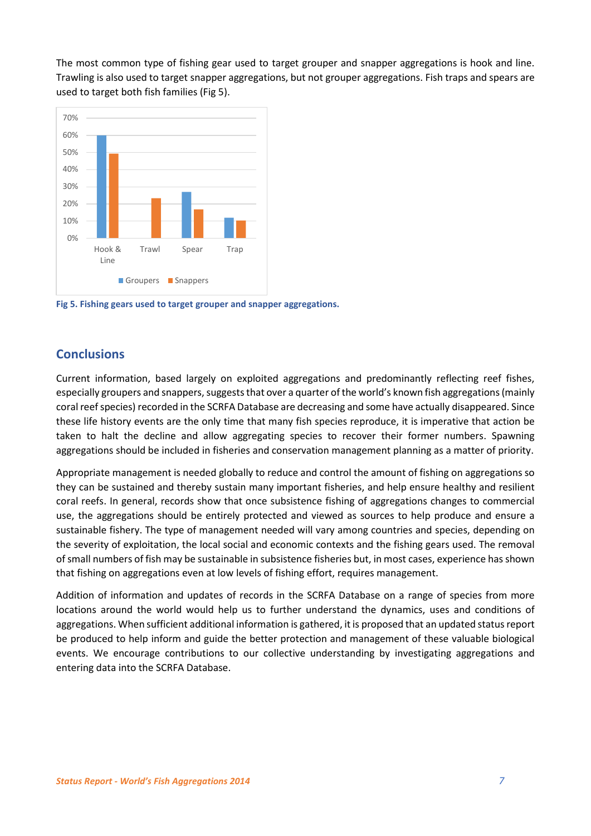The most common type of fishing gear used to target grouper and snapper aggregations is hook and line. Trawling is also used to target snapper aggregations, but not grouper aggregations. Fish traps and spears are used to target both fish families (Fig 5).



**Fig 5. Fishing gears used to target grouper and snapper aggregations.**

# **Conclusions**

Current information, based largely on exploited aggregations and predominantly reflecting reef fishes, especially groupers and snappers, suggests that over a quarter of the world's known fish aggregations(mainly coral reef species) recorded in the SCRFA Database are decreasing and some have actually disappeared. Since these life history events are the only time that many fish species reproduce, it is imperative that action be taken to halt the decline and allow aggregating species to recover their former numbers. Spawning aggregations should be included in fisheries and conservation management planning as a matter of priority.

Appropriate management is needed globally to reduce and control the amount of fishing on aggregations so they can be sustained and thereby sustain many important fisheries, and help ensure healthy and resilient coral reefs. In general, records show that once subsistence fishing of aggregations changes to commercial use, the aggregations should be entirely protected and viewed as sources to help produce and ensure a sustainable fishery. The type of management needed will vary among countries and species, depending on the severity of exploitation, the local social and economic contexts and the fishing gears used. The removal of small numbers of fish may be sustainable in subsistence fisheries but, in most cases, experience has shown that fishing on aggregations even at low levels of fishing effort, requires management.

Addition of information and updates of records in the SCRFA Database on a range of species from more locations around the world would help us to further understand the dynamics, uses and conditions of aggregations. When sufficient additional information is gathered, it is proposed that an updated status report be produced to help inform and guide the better protection and management of these valuable biological events. We encourage contributions to our collective understanding by investigating aggregations and entering data into the SCRFA Database.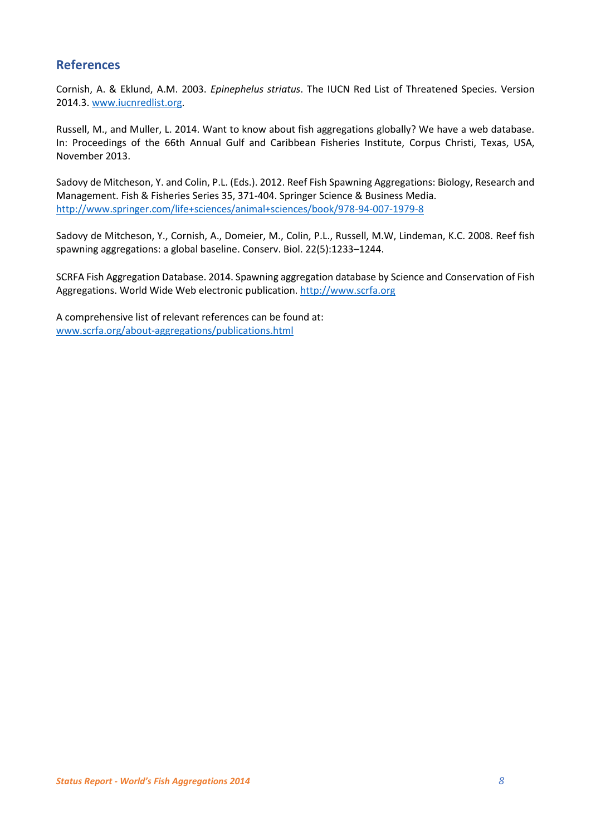## **References**

Cornish, A. & Eklund, A.M. 2003. *Epinephelus striatus*. The IUCN Red List of Threatened Species. Version 2014.3[. www.iucnredlist.org.](http://www.iucnredlist.org/)

Russell, M., and Muller, L. 2014. Want to know about fish aggregations globally? We have a web database. In: Proceedings of the 66th Annual Gulf and Caribbean Fisheries Institute, Corpus Christi, Texas, USA, November 2013.

Sadovy de Mitcheson, Y. and Colin, P.L. (Eds.). 2012. Reef Fish Spawning Aggregations: Biology, Research and Management. Fish & Fisheries Series 35, 371-404. Springer Science & Business Media. <http://www.springer.com/life+sciences/animal+sciences/book/978-94-007-1979-8>

Sadovy de Mitcheson, Y., Cornish, A., Domeier, M., Colin, P.L., Russell, M.W, Lindeman, K.C. 2008. Reef fish spawning aggregations: a global baseline. Conserv. Biol. 22(5):1233–1244.

SCRFA Fish Aggregation Database. 2014. Spawning aggregation database by Science and Conservation of Fish Aggregations. World Wide Web electronic publication[. http://www.scrfa.org](http://www.scrfa.org/)

A comprehensive list of relevant references can be found at: [www.scrfa.org/about-aggregations/publications.html](http://www.scrfa.org/about-aggregations/publications.html)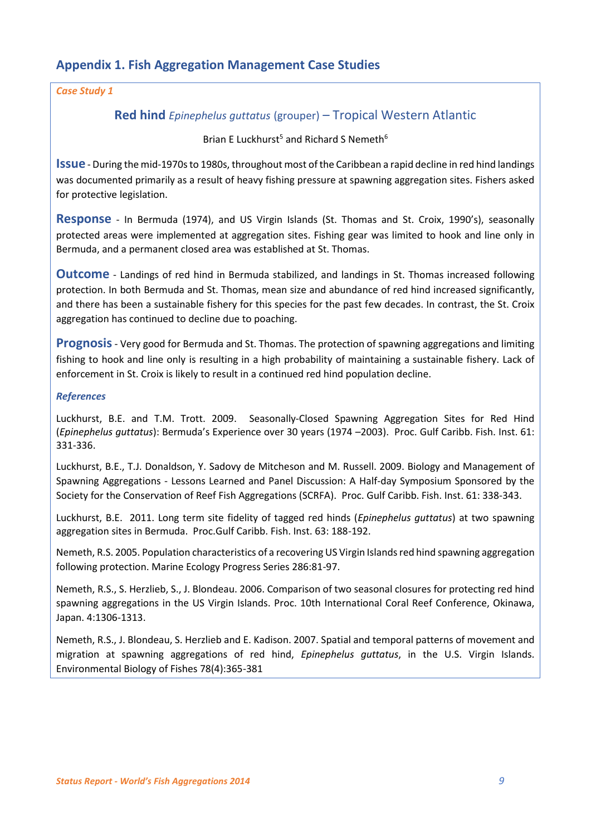# **Appendix 1. Fish Aggregation Management Case Studies**

#### *Case Study 1*

## **Red hind** *Epinephelus guttatus* (grouper) – Tropical Western Atlantic

#### Brian E Luckhurst<sup>5</sup> and Richard S Nemeth<sup>6</sup>

**Issue** - During the mid-1970s to 1980s, throughout most of the Caribbean a rapid decline in red hind landings was documented primarily as a result of heavy fishing pressure at spawning aggregation sites. Fishers asked for protective legislation.

**Response** - In Bermuda (1974), and US Virgin Islands (St. Thomas and St. Croix, 1990's), seasonally protected areas were implemented at aggregation sites. Fishing gear was limited to hook and line only in Bermuda, and a permanent closed area was established at St. Thomas.

**Outcome** - Landings of red hind in Bermuda stabilized, and landings in St. Thomas increased following protection. In both Bermuda and St. Thomas, mean size and abundance of red hind increased significantly, and there has been a sustainable fishery for this species for the past few decades. In contrast, the St. Croix aggregation has continued to decline due to poaching.

**Prognosis**- Very good for Bermuda and St. Thomas. The protection of spawning aggregations and limiting fishing to hook and line only is resulting in a high probability of maintaining a sustainable fishery. Lack of enforcement in St. Croix is likely to result in a continued red hind population decline.

#### *References*

Luckhurst, B.E. and T.M. Trott. 2009. Seasonally-Closed Spawning Aggregation Sites for Red Hind (*Epinephelus guttatus*): Bermuda's Experience over 30 years (1974 –2003). Proc. Gulf Caribb. Fish. Inst. 61: 331-336.

Luckhurst, B.E., T.J. Donaldson, Y. Sadovy de Mitcheson and M. Russell. 2009. Biology and Management of Spawning Aggregations - Lessons Learned and Panel Discussion: A Half-day Symposium Sponsored by the Society for the Conservation of Reef Fish Aggregations (SCRFA). Proc. Gulf Caribb. Fish. Inst. 61: 338-343.

Luckhurst, B.E. 2011. Long term site fidelity of tagged red hinds (*Epinephelus guttatus*) at two spawning aggregation sites in Bermuda. Proc.Gulf Caribb. Fish. Inst. 63: 188-192.

Nemeth, R.S. 2005. Population characteristics of a recovering US Virgin Islands red hind spawning aggregation following protection. Marine Ecology Progress Series 286:81-97.

Nemeth, R.S., S. Herzlieb, S., J. Blondeau. 2006. Comparison of two seasonal closures for protecting red hind spawning aggregations in the US Virgin Islands. Proc. 10th International Coral Reef Conference, Okinawa, Japan. 4:1306-1313.

Nemeth, R.S., J. Blondeau, S. Herzlieb and E. Kadison. 2007. Spatial and temporal patterns of movement and migration at spawning aggregations of red hind, *Epinephelus guttatus*, in the U.S. Virgin Islands. Environmental Biology of Fishes 78(4):365-381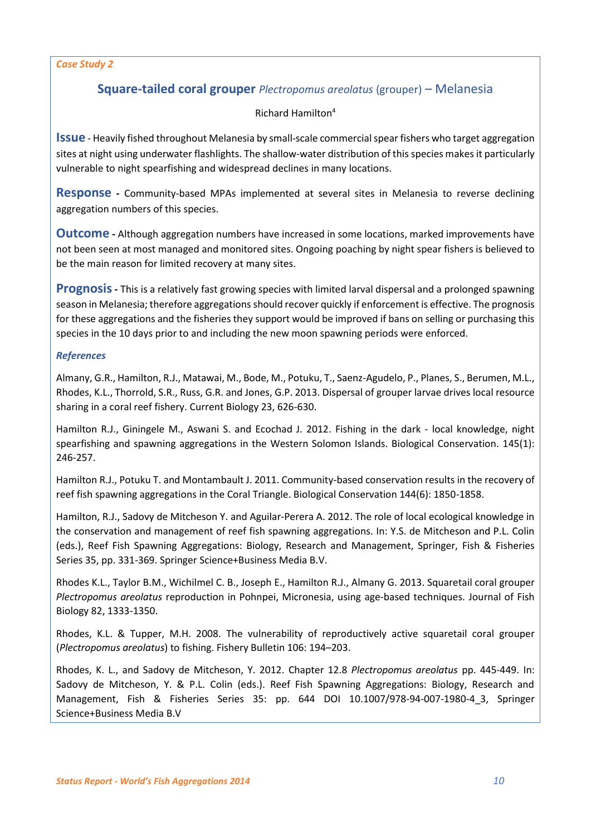#### *Case Study 2*

# **Square-tailed coral grouper** *Plectropomus areolatus* (grouper) – Melanesia

#### Richard Hamilton<sup>4</sup>

**Issue** - Heavily fished throughout Melanesia by small-scale commercial spear fishers who target aggregation sites at night using underwater flashlights. The shallow-water distribution of this species makes it particularly vulnerable to night spearfishing and widespread declines in many locations.

**Response -** Community-based MPAs implemented at several sites in Melanesia to reverse declining aggregation numbers of this species.

**Outcome -** Although aggregation numbers have increased in some locations, marked improvements have not been seen at most managed and monitored sites. Ongoing poaching by night spear fishers is believed to be the main reason for limited recovery at many sites.

**Prognosis-** This is a relatively fast growing species with limited larval dispersal and a prolonged spawning season in Melanesia; therefore aggregations should recover quickly if enforcement is effective. The prognosis for these aggregations and the fisheries they support would be improved if bans on selling or purchasing this species in the 10 days prior to and including the new moon spawning periods were enforced.

#### *References*

Almany, G.R., Hamilton, R.J., Matawai, M., Bode, M., Potuku, T., Saenz-Agudelo, P., Planes, S., Berumen, M.L., Rhodes, K.L., Thorrold, S.R., Russ, G.R. and Jones, G.P. 2013. Dispersal of grouper larvae drives local resource sharing in a coral reef fishery. Current Biology 23, 626-630.

Hamilton R.J., Giningele M., Aswani S. and Ecochad J. 2012. Fishing in the dark - local knowledge, night spearfishing and spawning aggregations in the Western Solomon Islands. Biological Conservation. 145(1): 246-257.

Hamilton R.J., Potuku T. and Montambault J. 2011. Community-based conservation results in the recovery of reef fish spawning aggregations in the Coral Triangle. Biological Conservation 144(6): 1850-1858.

Hamilton, R.J., Sadovy de Mitcheson Y. and Aguilar-Perera A. 2012. The role of local ecological knowledge in the conservation and management of reef fish spawning aggregations. In: Y.S. de Mitcheson and P.L. Colin (eds.), Reef Fish Spawning Aggregations: Biology, Research and Management, Springer, Fish & Fisheries Series 35, pp. 331-369. Springer Science+Business Media B.V.

Rhodes K.L., Taylor B.M., Wichilmel C. B., Joseph E., Hamilton R.J., Almany G. 2013. Squaretail coral grouper *Plectropomus areolatus* reproduction in Pohnpei, Micronesia, using age-based techniques. Journal of Fish Biology 82, 1333-1350.

Rhodes, K.L. & Tupper, M.H. 2008. The vulnerability of reproductively active squaretail coral grouper (*Plectropomus areolatus*) to fishing. Fishery Bulletin 106: 194–203.

Rhodes, K. L., and Sadovy de Mitcheson, Y. 2012. Chapter 12.8 *Plectropomus areolatus* pp. 445-449. In: Sadovy de Mitcheson, Y. & P.L. Colin (eds.). Reef Fish Spawning Aggregations: Biology, Research and Management, Fish & Fisheries Series 35: pp. 644 DOI 10.1007/978-94-007-1980-4\_3, Springer Science+Business Media B.V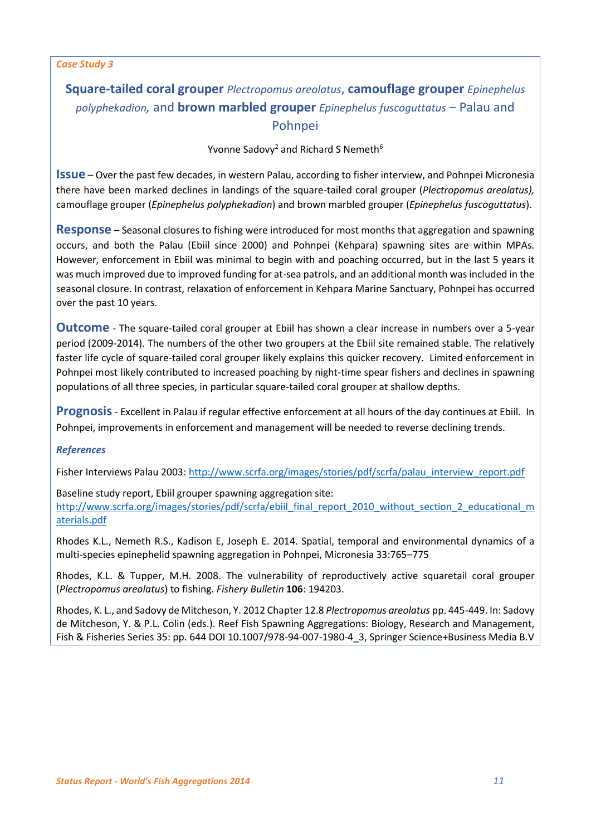#### *Case Study 3*

# **Square-tailed coral grouper** *Plectropomus areolatus*, **camouflage grouper** *Epinephelus polyphekadion,* and **brown marbled grouper** *Epinephelus fuscoguttatus* – Palau and Pohnpei

Yvonne Sadovy<sup>2</sup> and Richard S Nemeth<sup>6</sup>

**Issue** – Over the past few decades, in western Palau, according to fisher interview, and Pohnpei Micronesia there have been marked declines in landings of the square-tailed coral grouper (*Plectropomus areolatus),*  camouflage grouper (*Epinephelus polyphekadion*) and brown marbled grouper (*Epinephelus fuscoguttatus*).

**Response** – Seasonal closures to fishing were introduced for most months that aggregation and spawning occurs, and both the Palau (Ebiil since 2000) and Pohnpei (Kehpara) spawning sites are within MPAs. However, enforcement in Ebiil was minimal to begin with and poaching occurred, but in the last 5 years it was much improved due to improved funding for at-sea patrols, and an additional month was included in the seasonal closure. In contrast, relaxation of enforcement in Kehpara Marine Sanctuary, Pohnpei has occurred over the past 10 years.

**Outcome** - The square-tailed coral grouper at Ebiil has shown a clear increase in numbers over a 5-year period (2009-2014). The numbers of the other two groupers at the Ebiil site remained stable. The relatively faster life cycle of square-tailed coral grouper likely explains this quicker recovery. Limited enforcement in Pohnpei most likely contributed to increased poaching by night-time spear fishers and declines in spawning populations of all three species, in particular square-tailed coral grouper at shallow depths.

**Prognosis**- Excellent in Palau if regular effective enforcement at all hours of the day continues at Ebiil. In Pohnpei, improvements in enforcement and management will be needed to reverse declining trends.

#### *References*

Fisher Interviews Palau 2003: [http://www.scrfa.org/images/stories/pdf/scrfa/palau\\_interview\\_report.pdf](http://www.scrfa.org/images/stories/pdf/scrfa/palau_interview_report.pdf)

Baseline study report, Ebiil grouper spawning aggregation site: [http://www.scrfa.org/images/stories/pdf/scrfa/ebiil\\_final\\_report\\_2010\\_without\\_section\\_2\\_educational\\_m](http://www.scrfa.org/images/stories/pdf/scrfa/ebiil_final_report_2010_without_section_2_educational_materials.pdf) [aterials.pdf](http://www.scrfa.org/images/stories/pdf/scrfa/ebiil_final_report_2010_without_section_2_educational_materials.pdf)

Rhodes K.L., Nemeth R.S., Kadison E, Joseph E. 2014. Spatial, temporal and environmental dynamics of a multi-species epinephelid spawning aggregation in Pohnpei, Micronesia 33:765–775

Rhodes, K.L. & Tupper, M.H. 2008. The vulnerability of reproductively active squaretail coral grouper (*Plectropomus areolatus*) to fishing. *Fishery Bulletin* **106**: 194203.

Rhodes, K. L., and Sadovy de Mitcheson, Y. 2012 Chapter 12.8 *Plectropomus areolatus* pp. 445-449. In: Sadovy de Mitcheson, Y. & P.L. Colin (eds.). Reef Fish Spawning Aggregations: Biology, Research and Management, Fish & Fisheries Series 35: pp. 644 DOI 10.1007/978-94-007-1980-4\_3, Springer Science+Business Media B.V